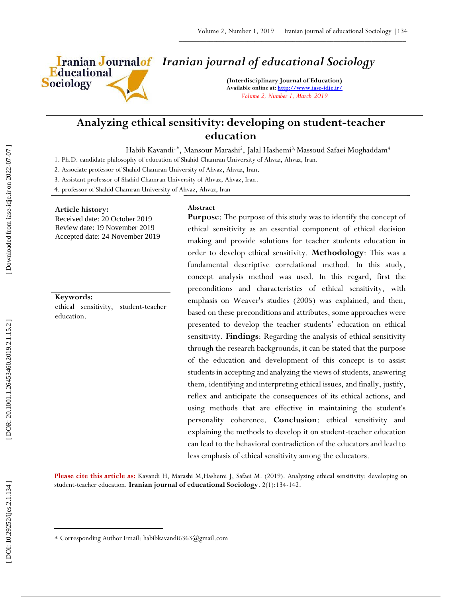

# *Iranian journal of educational Sociology*

**(Interdisciplinary Journal of Education) Available online at[: http://www.iase](http://www.iase-idje.ir/) -idje.ir/** *Volume 2, Number 1, March 2019*

# **Analyzing ethical sensitivity: developing on student -teacher education**

Habib Kavandi<sup>1\*</sup>, Mansour Marashi<sup>2</sup>, Jalal Hashemi<sup>3,</sup> Massoud Safaei Moghaddam<sup>4</sup>

1. Ph.D. candidate philosophy of education of Shahid Chamran University of Ahvaz, Ahvaz, Iran.

2. Associate professor of Shahid Chamran University of Ahvaz, Ahvaz, Iran.

3. Assistant professor of Shahid Chamran University of Ahvaz, Ahvaz, Iran.

4. professor of Shahid Chamran University of Ahvaz, Ahvaz, Iran

## **Article history:**

Received date: 20 October 2019 Review date: 19 November 2019 Accepted date: 24 November 2019

# **Keywords:**

ethical sensitivity, student -teacher education.

### **Abstract**

**Purpose**: The purpose of this study was to identify the concept of ethical sensitivity as an essential component of ethical decision making and provide solutions for teacher students education in order to develop ethical sensitivity. **Methodology**: This was a fundamental descriptive correlational method. In this study, concept analysis method was used. In this regard, first the preconditions and characteristics of ethical sensitivity, with emphasis on Weaver's studies (2005) was explained, and then, based on these preconditions and attributes, some approaches were presented to develop the teacher students' education on ethical sensitivity. **Findings**: Regarding the analysis of ethical sensitivity through the research backgrounds, it can be stated that the purpose of the education and development of this concept is to assist students in accepting and analyzing the views of students, answering them, identifying and interpreting ethical issues, and finally, justify, reflex and anticipate the consequences of its ethical actions, and using methods that are effective in maintaining the student's personality coherence. **Conclusion**: ethical sensitivity and explaining the methods to develop it on student -teacher education can lead to the behavioral contradiction of the educators and lead to less emphasis of ethical sensitivity among the educators.

**Please cite this article as:** Kavandi H, Marashi M,Hashemi J, Safaei M. (201 9). Analyzing ethical sensitivity: developing on student-teacher education. Iranian journal of educational Sociology. 2(1):134-142.

 $\overline{\phantom{a}}$ 

Corresponding Author Email: habibkavandi6363@gmail.com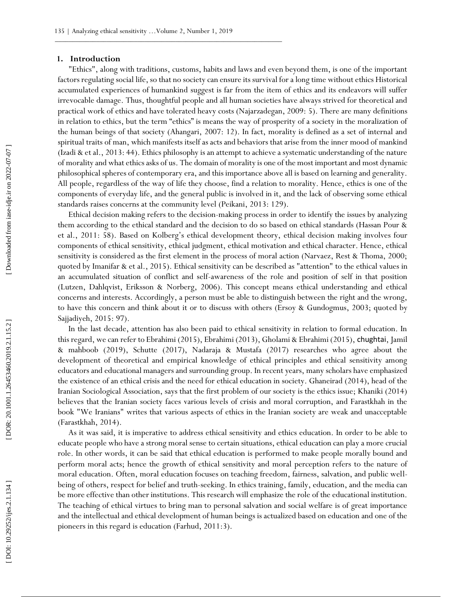#### **1. Introduction**

"Ethics", along with traditions, customs, habits and laws and even beyond them, is one of the important factors regulating social life, so that no society can ensure its survival for a long time without ethics Historical accumulated experiences of humankind suggest is far from the item of ethics and its endeavors will suffer irrevocable damage. Thus, thoughtful people and all human societies have always strived for theoretical and practical work of ethics and have tolerated heavy costs (Najarzadegan, 2009: 5). There are many definitions in relation to ethics, but the term "ethics" is means the way of prosperity of a society in the moralization of the human beings of that society (Ahangari, 2007: 12). In fact, morality is defined as a set of internal and spiritual traits of man, which manifests itself as acts and behaviors that arise from the inner mood of mankind (Izadi & et al., 2013: 44). Ethics philosophy is an attempt to achieve a systematic understanding of the nature of morality and what ethics asks of us. The domain of morality is one of the most important and most dynamic philosophical spheres of contemporary era, and this importance above all is based on learning and generality. All people, regardless of the way of life they choose, find a relation to morality. Hence, ethics is one of the components of everyday life, and the general public is involved in it, and the lack of observing some ethical standards raises concerns at the community level (Peikani, 2013: 129).

Ethical decision making refers to the decision -making process in order to identify the issues by analyzing them according to the ethical standard and the decision to do so based on ethical standards (Hassan Pour & et al., 2011: 58). Based on Kolberg's ethical development theory, ethical decision making involves four components of ethical sensitivity, ethical judgment, ethical motivation and ethical character. Hence, ethical sensitivity is considered as the first element in the process of moral action (Narvaez, Rest & Thoma, 2000; quoted by Imanifar & et al., 2015). Ethical sensitivity can be described as "attention" to the ethical values in an accumulated situation of conflict and self -awareness of the role and position of self in that position (Lutzen, Dahlqvist, Eriksson & Norberg, 2006). This concept means ethical understanding and ethical concerns and interests. Accordingly, a person must be able to distinguish between the right and the wrong, to have this concern and think about it or to discuss with others (Ersoy & Gundogmus, 2003; quoted by Sajjadiyeh, 2015: 97).

In the last decade, attention has also been paid to ethical sensitivity in relation to formal education. In this regard, we can refer to Ebrahimi (2015), Ebrahimi (2013), Gholami & Ebrahimi (2015), chughtai, Jamil & mahboob (2019), Schutte (2017), Nadaraja & Mustafa (2017) researches who agree about the development of theoretical and empirical knowledge of ethical principles and ethical sensitivity among educators and educational managers and surrounding group. In recent years, many scholars have emphasized the existence of an ethical crisis and the need for ethical education in society. Ghaneirad (2014), head of the Iranian Sociological Association, says that the first problem of our society is the ethics issue; Khaniki (2014) believes that the Iranian society faces various levels of crisis and moral corruption, and Farastkhah in the book "We Iranians" writes that various aspects of ethics in the Iranian society are weak and unacceptable (Farastkhah, 2014).

As it was said, it is imperative to address ethical sensitivity and ethics education. In order to be able to educate people who have a strong moral sense to certain situations, ethical education can play a more crucial role. In other words, it can be said that ethical education is performed to make people morally bound and perform moral acts; hence the growth of ethical sensitivity and moral perception refers to the nature of moral education. Often, moral education focuses on teaching freedom, fairness, salvation, and public wel l being of others, respect for belief and truth -seeking. In ethics training, family, education, and the media can be more effective than other institutions. This research will emphasize the role of the educational institution. The teaching of ethical virtues to bring man to personal salvation and social welfare is of great importance and the intellectual and ethical development of human beings is actualized based on education and one of the pioneers in this regard is education (Farhud, 2011:3).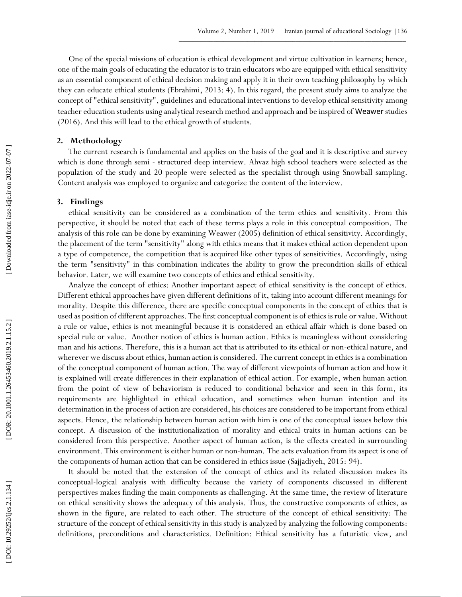One of the special missions of education is ethical development and virtue cultivation in learners; hence, one of the main goals of educating the educator is to train educators who are equipped with ethical sensitivity as an essential component of ethical decision making and apply it in their own teaching philosophy by which they can educate ethical students (Ebrahimi, 2013: 4). In this regard, the present study aims to analyze the concept of "ethical sensitivity", guidelines and educational interventions to develop ethical sensitivity among teacher education students using analytical research method and approach and be inspired of Weawer studies (2016). And this will lead to the ethical growth of students.

### **2. Methodology**

The current research is fundamental and applies on the basis of the goal and it is descriptive and survey which is done through semi - structured deep interview. Ahvaz high school teachers were selected as the population of the study and 20 people were selected as the specialist through using Snowball sampling. Content analysis was employed to organize and categorize the content of the interview.

## **3. Findings**

ethical sensitivity can be considered as a combination of the term ethics and sensitivity. From this perspective, it should be noted that each of these terms plays a role in this conceptual composition. The analysis of this role can be done by examining Weawer (2005) definition of ethical sensitivity. Accordingly, the placement of the term "sensitivity" along with ethics means that it makes ethical action dependent upon a type of competence, the competition that is acquired like other types of sensitivities. Accordingly, using the term "sensitivity" in this combination indicates the ability to grow the precondition skills of ethical behavior. Later, we will examine two concepts of ethics and ethical sensitivity.

Analyze the concept of ethics: Another important aspect of ethical sensitivity is the concept of ethics. Different ethical approaches have given different definitions of it, taking into account different meanings for morality. Despite this difference, there are specific conceptual components in the concept of ethics that is used as position of different approaches. The first conceptual component is of ethics is rule or value. Without a rule or value, ethics is not meaningful because it is considered an ethical affair which is done based on special rule or value. Another notion of ethics is human action. Ethics is meaningless without considering man and his actions. Therefore, this is a human act that is attributed to its ethical or non -ethical nature, and wherever we discuss about ethics, human action is considered. The current concept in ethics is a combination of the conceptual component of human action. The way of different viewpoints of human action and how it is explained will create differences in their explanation of ethical action. For example, when human action from the point of view of behaviorism is reduced to conditional behavior and seen in this form, its requirements are highlighted in ethical education, and sometimes when human intention and its determination in the process of action are considered, his choices are considered to be important from ethical aspects. Hence, the relationship between human action with him is one of the conceptual issues below this concept. A discussion of the institutionalization of morality and ethical traits in human actions can be considered from this perspective. Another aspect of human action, is the effects created in surrounding environment. This environment is either human or non -human. The acts evaluation from its aspect is one of the components of human action that can be considered in ethics issue (Sajjadiyeh, 2015: 94).

It should be noted that the extension of the concept of ethics and its related discussion makes its conceptual -logical analysis with difficulty because the variety of components discussed in different perspectives makes finding the main components as challenging. At the same time, the review of literature on ethical sensitivity shows the adequacy of this analysis. Thus, the constructive components of ethics, as shown in the figure, are related to each other. The structure of the concept of ethical sensitivity: The structure of the concept of ethical sensitivity in this study is analyzed by analyzing the following components: definitions, preconditions and characteristics. Definition: Ethical sensitivity has a futuristic view, and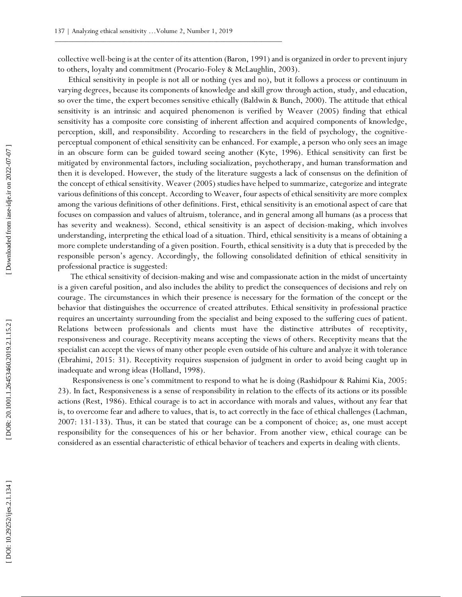collective well -being is at the center of its attention (Baron, 1991) and is organized in order to prevent injury to others, loyalty and commitment (Procario -Foley & McLaughlin, 2003).

Ethical sensitivity in people is not all or nothing (yes and no), but it follows a process or continuum in varying degrees, because its components of knowledge and skill grow through action, study, and education, so over the time, the expert becomes sensitive ethically (Baldwin & Bunch, 2000). The attitude that ethical sensitivity is an intrinsic and acquired phenomenon is verified by Weaver (2005) finding that ethical sensitivity has a composite core consisting of inherent affection and acquired components of knowledge, perception, skill, and responsibility. According to researchers in the field of psychology, the cognitive perceptual component of ethical sensitivity can be enhanced. For example, a person who only sees an image in an obscure form can be guided toward seeing another (Kyte, 1996). Ethical sensitivity can first be mitigated by environmental factors, including socialization, psychotherapy, and human transformation and then it is developed. However, the study of the literature suggests a lack of consensus on the definition of the concept of ethical sensitivity. Weaver (2005) studies have helped to summarize, categorize and integrate various definitions of this concept. According to Weaver, four aspects of ethical sensitivity are more complex among the various definitions of other definitions. First, ethical sensitivity is an emotional aspect of care that focuses on compassion and values of altruism, tolerance, and in general among all humans (as a process that has severity and weakness). Second, ethical sensitivity is an aspect of decision -making, which involves understanding, interpreting the ethical load of a situation. Third, ethical sensitivity is a means of obtaining a more complete understanding of a given position. Fourth, ethical sensitivity is a duty that is preceded by the responsible person's agency. Accordingly, the following consolidated definition of ethical sensitivity in professional practice is suggested:

The ethical sensitivity of decision -making and wise and compassionate action in the midst of uncertainty is a given careful position, and also includes the ability to predict the consequences of decisions and rely on courage. The circumstances in which their presence is necessary for the formation of the concept or the behavior that distinguishes the occurrence of created attributes. Ethical sensitivity in professional practice requires an uncertainty surrounding from the specialist and being exposed to the suffering cues of patient. Relations between professionals and clients must have the distinctive attributes of receptivity, responsiveness and courage. Receptivity means accepting the views of others. Receptivity means that the specialist can accept the views of many other people even outside of his culture and analyze it with tolerance (Ebrahimi, 2015: 31). Receptivity requires suspension of judgment in order to avoid being caught up in inadequate and wrong ideas (Holland, 1998).

 Responsiveness is one's commitment to respond to what he is doing (Rashidpour & Rahimi Kia, 2005: 23). In fact, Responsiveness is a sense of responsibility in relation to the effects of its actions or its possible actions (Rest, 1986). Ethical courage is to act in accordance with morals and values, without any fear that is, to overcome fear and adhere to values, that is, to act correctly in the face of ethical challenges (Lachman, 2007: 131 -133). Thus, it can be stated that courage can be a component of choice; as, one must accept responsibility for the consequences of his or her behavior. From another view, ethical courage can be considered as an essential characteristic of ethical behavior of teachers and experts in dealing with clients.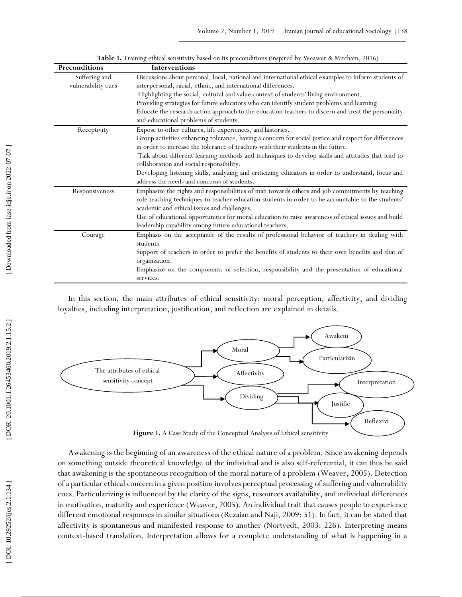| Preconditions      | <b>Interventions</b>                                                                                  |
|--------------------|-------------------------------------------------------------------------------------------------------|
| Suffering and      | Discussions about personal, local, national and international ethical examples to inform students of  |
| vulnerability cues | interpersonal, racial, ethnic, and international differences.                                         |
|                    | Highlighting the social, cultural and value context of students' living environment.                  |
|                    | Providing strategies for future educators who can identify student problems and learning.             |
|                    | Educate the research action approach to the education teachers to discern and treat the personality   |
|                    | and educational problems of students.                                                                 |
| Receptivity        | Expose to other cultures, life experiences, and histories.                                            |
|                    | Group activities enhancing tolerance, having a concern for social justice and respect for differences |
|                    | in order to increase the tolerance of teachers with their students in the future.                     |
|                    | Talk about different learning methods and techniques to develop skills and attitudes that lead to     |
|                    | collaboration and social responsibility.                                                              |
|                    | Developing listening skills, analyzing and criticizing educators in order to understand, focus and    |
|                    | address the needs and concerns of students.                                                           |
| Responsiveness     | Emphasize the rights and responsibilities of man towards others and job commitments by teaching       |
|                    | role teaching techniques to teacher education students in order to be accountable to the students'    |
|                    | academic and ethical issues and challenges.                                                           |
|                    | Use of educational opportunities for moral education to raise awareness of ethical issues and build   |
|                    | leadership capability among future educational teachers.                                              |
| Courage            | Emphasis on the acceptance of the results of professional behavior of teachers in dealing with        |
|                    | students.                                                                                             |
|                    | Support of teachers in order to prefer the benefits of students to their own benefits and that of     |
|                    | organization.                                                                                         |
|                    | Emphasize on the components of selection, responsibility and the presentation of educational          |
|                    | services.                                                                                             |

**Table 1.** Training ethical sensitivity based on its preconditions (inspired by Weawer & Mitcham, 2016)

In this section, the main attributes of ethical sensitivity: moral perception, affectivity, and dividing loyalties, including interpretation, justification, and reflection are explained in details.



Awakening is the beginning of an awareness of the ethical nature of a problem. Since awakening depends on something outside theoretical knowledge of the individual and is also self -referential, it can thus be said that awakening is the spontaneous recognition of the moral nature of a problem (Weaver, 2005). Detection of a particular ethical concern in a given position involves perceptual processing of suffering and vulnerability cues. Particularizing is influenced by the clarity of the signs, resources availability, and individual differences in motivation, maturity and experience (Weaver, 2005). An individual trait that causes people to experience different emotional responses in similar situations (Rezaian and Naji, 2009: 51). In fact, it can be stated that affectivity is spontaneous and manifested response to another (Nortvedt, 2003: 226). Interpreting means context -based translation. Interpretation allows for a complete understanding of what is happening in a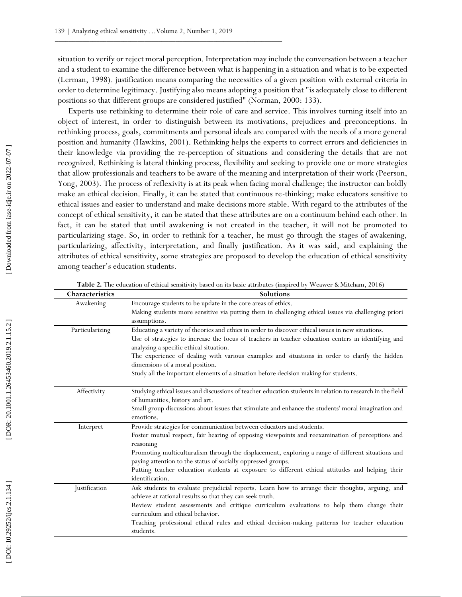situation to verify or reject moral perception. Interpretation may include the conversation between a teacher and a student to examine the difference between what is happening in a situation and what is to be expected (Lerman, 1998). justification means comparing the necessities of a given position with external criteria in order to determine legitimacy. Justifying also means adopting a position that "is adequately close to different positions so that different groups are considered justified" (Norman, 2000: 133).

Experts use rethinking to determine their role of care and service. This involves turning itself into an object of interest, in order to distinguish between its motivations, prejudices and preconceptions. In rethinking process, goals, commitments and personal ideals are compared with the needs of a more general position and humanity (Hawkins, 2001). Rethinking helps the experts to correct errors and deficiencies in their knowledge via providing the re -perception of situations and considering the details that are not recognized. Rethinking is lateral thinking process, flexibility and seeking to provide one or more strategies that allow professionals and teachers to be aware of the meaning and interpretation of their work (Peerson, Yong, 2003). The process of reflexivity is at its peak when facing moral challenge; the instructor can boldly make an ethical decision. Finally, it can be stated that continuous re -thinking; make educators sensitive to ethical issues and easier to understand and make decisions more stable. With regard to the attributes of the concept of ethical sensitivity, it can be stated that these attributes are on a continuum behind each other. In fact, it can be stated that until awakening is not created in the teacher, it will not be promoted to particularizing stage. So, in order to rethink for a teacher, he must go through the stages of awakening, particularizing, affectivity, interpretation, and finally justification. As it was said, and explaining the attributes of ethical sensitivity, some strategies are proposed to develop the education of ethical sensitivity among teacher's education students.

| Characteristics | <b>Solutions</b>                                                                                                                 |
|-----------------|----------------------------------------------------------------------------------------------------------------------------------|
| Awakening       | Encourage students to be update in the core areas of ethics.                                                                     |
|                 | Making students more sensitive via putting them in challenging ethical issues via challenging priori                             |
|                 | assumptions.                                                                                                                     |
| Particularizing | Educating a variety of theories and ethics in order to discover ethical issues in new situations.                                |
|                 | Use of strategies to increase the focus of teachers in teacher education centers in identifying and                              |
|                 | analyzing a specific ethical situation.                                                                                          |
|                 | The experience of dealing with various examples and situations in order to clarify the hidden<br>dimensions of a moral position. |
|                 | Study all the important elements of a situation before decision making for students.                                             |
|                 |                                                                                                                                  |
| Affectivity     | Studying ethical issues and discussions of teacher education students in relation to research in the field                       |
|                 | of humanities, history and art.                                                                                                  |
|                 | Small group discussions about issues that stimulate and enhance the students' moral imagination and<br>emotions.                 |
|                 | Provide strategies for communication between educators and students.                                                             |
| Interpret       | Foster mutual respect, fair hearing of opposing viewpoints and reexamination of perceptions and                                  |
|                 | reasoning                                                                                                                        |
|                 | Promoting multiculturalism through the displacement, exploring a range of different situations and                               |
|                 | paying attention to the status of socially oppressed groups.                                                                     |
|                 | Putting teacher education students at exposure to different ethical attitudes and helping their                                  |
|                 | identification.                                                                                                                  |
| Justification   | Ask students to evaluate prejudicial reports. Learn how to arrange their thoughts, arguing, and                                  |
|                 | achieve at rational results so that they can seek truth.                                                                         |
|                 | Review student assessments and critique curriculum evaluations to help them change their                                         |
|                 | curriculum and ethical behavior.                                                                                                 |
|                 | Teaching professional ethical rules and ethical decision-making patterns for teacher education                                   |
|                 | students.                                                                                                                        |

Table 2. The education of ethical sensitivity based on its basic attributes (inspired by Weawer & Mitcham, 2016)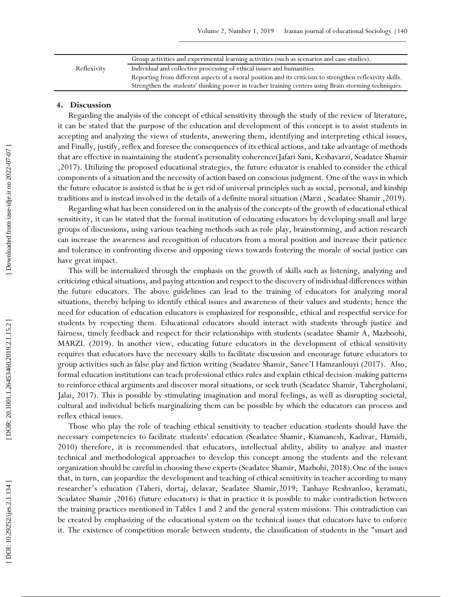|             | Group activities and experimental learning activities (such as scenarios and case studies).              |
|-------------|----------------------------------------------------------------------------------------------------------|
| Reflexivity | Individual and collective processing of ethical issues and humanities.                                   |
|             | Reporting from different aspects of a moral position and its criticism to strengthen reflexivity skills. |
|             | Strengthen the students' thinking power in teacher training centers using Brain storming techniques.     |

# **4 . Discussion**

Regarding the analysis of the concept of ethical sensitivity through the study of the review of literature, it can be stated that the purpose of the education and development of this concept is to assist students in accepting and analyzing the views of students, answering them, identifying and interpreting ethical issues, and Finally, justify, reflex and foresee the consequences of its ethical actions, and take advantage of methods that are effective in maintaining the student's personality coherence(Jafari Sani, Keshavarzi, Seadatee Shamir ,2017). Utilizing the proposed educational strategies, the future educator is enabled to consider the ethical components of a situation and the necessity of action based on conscious judgment. One of the ways in which the future educator is assisted is that he is get rid of universal principles such as social, personal, and kinship traditions and is instead involved in the details of a definite moral situation (Marzi , Seadatee Shamir ,2019).

Regarding what has been considered on in the analysis of the concepts of the growth of educational ethical sensitivity, it can be stated that the formal institution of educating educators by developing small and large groups of discussions, using various teaching methods such as role play, brainstorming, and action research can increase the awareness and recognition of educators from a moral position and increase their patience and tolerance in confronting diverse and opposing views towards fostering the morale of social justice can have great impact.

This will be internalized through the emphasis on the growth of skills such as listening, analyzing and criticizing ethical situations, and paying attention and respect to the discovery of individual differences within the future educators. The above guidelines can lead to the training of educators for analyzing moral situations, thereby helping to identify ethical issues and awareness of their values and students; hence the need for education of education educators is emphasized for responsible, ethical and respectful service for students by respecting them. Educational educators should interact with students through justice and fairness, timely feedback and respect for their relationships with students (seadatee Shamir A, Mazboohi, MARZI. (2019). In another view, educating future educators in the development of ethical sensitivity requires that educators have the necessary skills to facilitate discussion and encourage future educators to group activities such as false play and fiction writing (Seadatee Shamir, Sanee'I Hamzanlouyi (2017). Also, formal education institutions can teach professional ethics rules and explain ethical decision -making patterns to reinforce ethical arguments and discover moral situations, or seek truth (Seadatee Shamir, Tahergholami, Jalai, 2017). This is possible by stimulating imagination and moral feelings, as well as disrupting societal, cultural and individual beliefs marginalizing them can be possible by which the educators can process and reflex ethical issues.

Those who play the role of teaching ethical sensitivity to teacher education students should have the necessary competencies to facilitate students' education (Seadatee Shamir, Kiamanesh, Kadivar, Hamidi, 2010) therefore, it is recommended that educators, intellectual ability, ability to analyze and master technical and methodological approaches to develop this concept among the students and the relevant organization should be careful in choosing these experts (Seadatee Shamir, Mazbohi, 2018).One of the issues that, in turn, can jeopardize the development and teaching of ethical sensitivity in teacher according to many researcher's education (Taheri, dortaj, delavar, Seadatee Shamir,2019; Tanhaye Reshvanloo, keramati, Seadatee Shamir ,2016) (future educators) is that in practice it is possible to make contradiction between the training practices mentioned in Tables 1 and 2 and the general system missions. This contradiction can be created by emphasizing of the educational system on the technical issues that educators have to enforce it. The existence of competition morale between students, the classification of students in the "smart and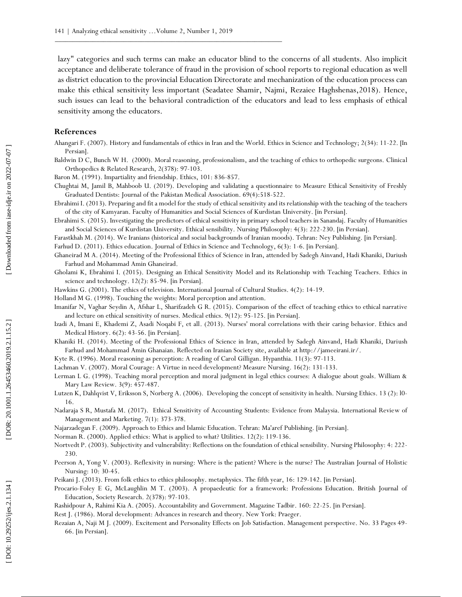lazy" categories and such terms can make an educator blind to the concerns of all students. Also implicit acceptance and deliberate tolerance of fraud in the provision of school reports to regional education as well as district education to the provincial Education Directorate and mechanization of the education process can make this ethical sensitivity less important (Seadatee Shamir, Najmi, Rezaiee Haghshenas,2018). Hence, such issues can lead to the behavioral contradiction of the educators and lead to less emphasis of ethical sensitivity among the educators.

## **References**

- Ahangari F. (2007). History and fundamentals of ethics in Iran and the World. Ethics in Science and Technology; 2(34): 11 -22. [In Persian].
- Baldwin D C, Bunch W H. (2000). Moral reasoning, professionalism, and the teaching of ethics to orthopedic surgeons. Clinical Orthopedics & Related Research, 2(378): 97 -103.
- Baron M. (1991). Impartiality and friendship. Ethics, 101: 836 -857.
- Chughtai M, Jamil B, Mahboob U. (2019). Developing and validating a questionnaire to Measure Ethical Sensitivity of Freshly Graduated Dentists: Journal of the Pakistan Medical Association. 69(4):518 -522.
- Ebrahimi I. (2013). Preparing and fit a model for the study of ethical sensitivity and its relationship with the teaching of the teachers of the city of Kamyaran. Faculty of Humanities and Social Sciences of Kurdistan University. [in Persian].
- Ebrahimi S. (2015). Investigating the predictors of ethical sensitivity in primary school teachers in Sanandaj. Faculty of Humanities and Social Sciences of Kurdistan University. Ethical sensibility. Nursing Philosophy: 4(3): 222 -230. [in Persian].
- Farastkhah M. (2014). We Iranians (historical and social backgrounds of Iranian moods). Tehran: Ney Publishing. [in Persian].
- Farhud D. (2011). Ethics education. Journal of Ethics in Science and Technology, 6(3): 1 -6. [in Persian].
- Ghaneirad M A. (2014). Meeting of the Professional Ethics of Science in Iran, attended by Sadegh Ainvand, Hadi Khaniki, Dariush Farhud and Mohammad Amin Ghaneirad.
- Gholami K, Ebrahimi I. (2015). Designing an Ethical Sensitivity Model and its Relationship with Teaching Teachers. Ethics in science and technology. 12(2): 85 -94. [in Persian].
- Hawkins G. (2001). The ethics of television. International Journal of Cultural Studies. 4(2): 14 -19.
- Holland M G. (1998). Touching the weights: Moral perception and attention.
- Imanifar N, Vaghar Seydin A, Afshar L, Sharifzadeh G R. (2015). Comparison of the effect of teaching ethics to ethical narrative and lecture on ethical sensitivity of nurses. Medical ethics. 9(12): 95 -125. [in Persian].
- Izadi A, Imani E, Khademi Z, Asadi Noqabi F, et all. (2013). Nurses' moral correlations with their caring behavior. Ethics and Medical History. 6(2): 43 -56. [in Persian].
- Khaniki H. (2014). Meeting of the Professional Ethics of Science in Iran, attended by Sadegh Ainvand, Hadi Khaniki, Dariush Farhud and Mohammad Amin Ghanaian. Reflected on Iranian Society site, available at http://jameeirani.ir/.
- Kyte R. (1996). Moral reasoning as perception: A reading of Carol Gilligan. Hypanthia. 11(3): 97 -113.
- Lachman V. (2007). Moral Courage: A Virtue in need development? Measure Nursing. 16(2): 131 -133.
- Lerman L G. (1998). Teaching moral perception and moral judgment in legal ethics courses: A dialogue about goals. William & Mary Law Review. 3(9): 457 -487.
- Lutzen K, Dahlqvist V, Eriksson S, Norberg A. (2006). Developing the concept of sensitivity in health. Nursing Ethics. 13 (2): l0-16.
- Nadaraja S R, Mustafa M. (2017). Ethical Sensitivity of Accounting Students: Evidence from Malaysia. International Review of Management and Marketing. 7(1): 373 -378.
- Najarzadegan F. (2009). Approach to Ethics and Islamic Education. Tehran: Ma'aref Publishing. [in Persian].
- Norman R. (2000). Applied ethics: What is applied to what? Utilities. 12(2): 119 -136.
- Nortvedt P. (2003). Subjectivity and vulnerability: Reflections on the foundation of ethical sensibility. Nursing Philosophy: 4: 222 230.
- Peerson A, Yong V. (2003). Reflexivity in nursing: Where is the patient? Where is the nurse? The Australian Journal of Holistic Nursing: 10: 30 -45.
- Peikani J. (2013). From folk ethics to ethics philosophy. metaphysics. The fifth year, 16: 129-142. [in Persian].
- Procario -Foley E G, McLaughlin M T. (2003). A propaedeutic for a framework: Professions Education. British Journal of Education, Society Research. 2(378): 97 -103.
- Rashidpour A, Rahimi Kia A. (2005). Accountability and Government. Magazine Tadbir. 160: 22 -25. [in Persian].
- Rest J. (1986). Moral development: Advances in research and theory. New York: Praeger.
- Rezaian A, Naji M J. (2009). Excitement and Personality Effects on Job Satisfaction. Management perspective. No. 33 Pages 49 66. [in Persian].